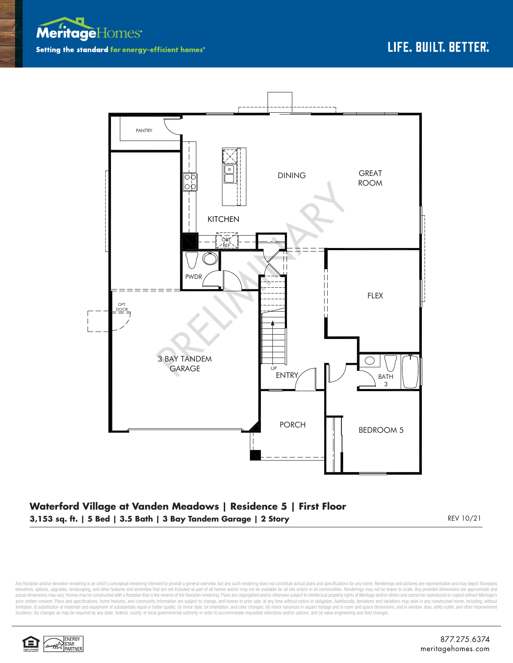



## **Waterford Village at Vanden Meadows | Residence 5 | First Floor 3,153 sq. ft. | 5 Bed | 3.5 Bath | 3 Bay Tandem Garage | 2 Story** REV 10/21 REV 10/21

Any floorplan and/or elevation rendering is an artist's conceptual rendering intended to provide a general overview, but any such rendering does not constitute actual plans and specifications for any home. Renderings and p elevations, options, upgrades, landscaping, and other features and amenities that are not included as part of all homes and/or may not be available for all lots and/or in all communities. Renderings may not be drawn to sca limitation: (i) substitution of materials and equipment of substantially equal or better quality; (ii) minor style, lot orientation, and color changes; (iii) minor variances in square footage and in room and space dimensio locations; (iv) changes as may be required by any state, federal, county, or local governmental authority in order to accommodate requested selections and/or options; and (v) value engineering and field changes.